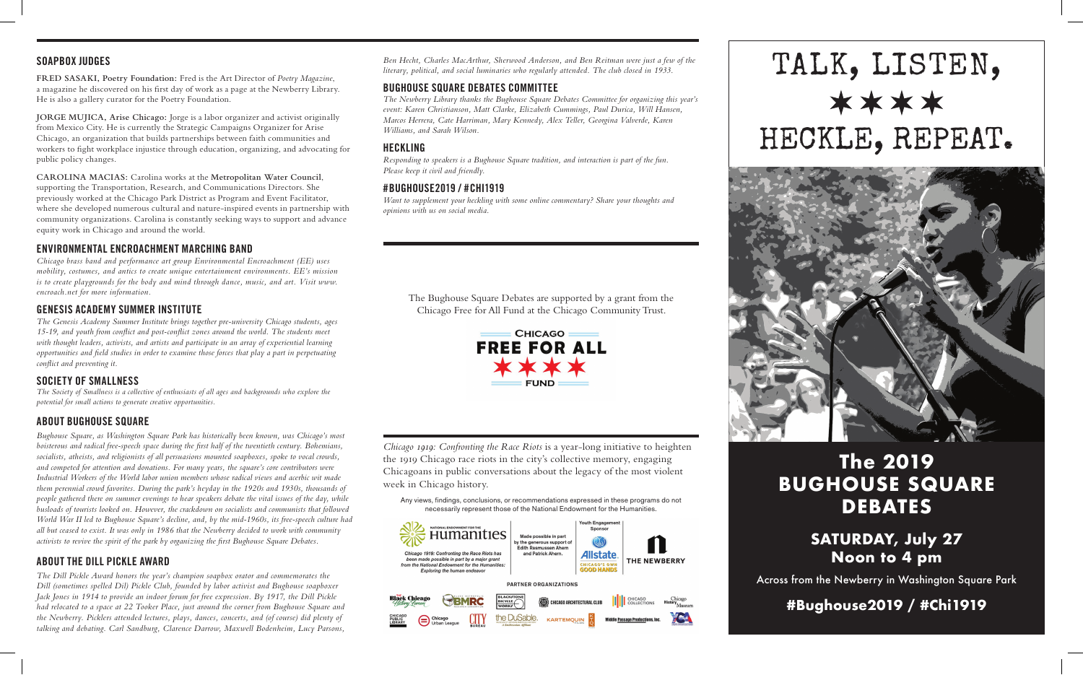#### **SOAPBOX JUDGES**

**FRED SASAKI, Poetry Foundation:** Fred is the Art Director of *Poetry Magazine*, a magazine he discovered on his first day of work as a page at the Newberry Library. He is also a gallery curator for the Poetry Foundation.

**JORGE MUJICA, Arise Chicago:** Jorge is a labor organizer and activist originally from Mexico City. He is currently the Strategic Campaigns Organizer for Arise Chicago, an organization that builds partnerships between faith communities and workers to fight workplace injustice through education, organizing, and advocating for public policy changes.

**CAROLINA MACIAS:** Carolina works at the **Metropolitan Water Council**, supporting the Transportation, Research, and Communications Directors. She previously worked at the Chicago Park District as Program and Event Facilitator, where she developed numerous cultural and nature-inspired events in partnership with community organizations. Carolina is constantly seeking ways to support and advance equity work in Chicago and around the world.

## **ENVIRONMENTAL ENCROACHMENT MARCHING BAND**

*Chicago brass band and performance art group Environmental Encroachment (EE) uses mobility, costumes, and antics to create unique entertainment environments. EE's mission is to create playgrounds for the body and mind through dance, music, and art. Visit www. encroach.net for more information.*

#### **GENESIS ACADEMY SUMMER INSTITUTE**

*The Genesis Academy Summer Institute brings together pre-university Chicago students, ages 15-19, and youth from conflict and post-conflict zones around the world. The students meet with thought leaders, activists, and artists and participate in an array of experiential learning opportunities and field studies in order to examine those forces that play a part in perpetuating conflict and preventing it.*

### **SOCIETY OF SMALLNESS**

*The Society of Smallness is a collective of enthusiasts of all ages and backgrounds who explore the potential for small actions to generate creative opportunities.*

### **ABOUT BUGHOUSE SQUARE**

*Bughouse Square, as Washington Square Park has historically been known, was Chicago's most boisterous and radical free-speech space during the first half of the twentieth century. Bohemians, socialists, atheists, and religionists of all persuasions mounted soapboxes, spoke to vocal crowds, and competed for attention and donations. For many years, the square's core contributors were Industrial Workers of the World labor union members whose radical views and acerbic wit made them perennial crowd favorites. During the park's heyday in the 1920s and 1930s, thousands of people gathered there on summer evenings to hear speakers debate the vital issues of the day, while busloads of tourists looked on. However, the crackdown on socialists and communists that followed World War II led to Bughouse Square's decline, and, by the mid-1960s, its free-speech culture had all but ceased to exist. It was only in 1986 that the Newberry decided to work with community activists to revive the spirit of the park by organizing the first Bughouse Square Debates.*

### **ABOUT THE DILL PICKLE AWARD**

*The Dill Pickle Award honors the year's champion soapbox orator and commemorates the Dill (sometimes spelled Dil) Pickle Club, founded by labor activist and Bughouse soapboxer Jack Jones in 1914 to provide an indoor forum for free expression. By 1917, the Dill Pickle had relocated to a space at 22 Tooker Place, just around the corner from Bughouse Square and the Newberry. Picklers attended lectures, plays, dances, concerts, and (of course) did plenty of talking and debating. Carl Sandburg, Clarence Darrow, Maxwell Bodenheim, Lucy Parsons,* 

*Ben Hecht, Charles MacArthur, Sherwood Anderson, and Ben Reitman were just a few of the literary, political, and social luminaries who regularly attended. The club closed in 1933.*

# **BUGHOUSE SQUARE DEBATES COMMITTEE**

*The Newberry Library thanks the Bughouse Square Debates Committee for organizing this year's event: Karen Christianson, Matt Clarke, Elizabeth Cummings, Paul Durica, Will Hansen, Marcos Herrera, Cate Harriman, Mary Kennedy, Alex Teller, Georgina Valverde, Karen Williams, and Sarah Wilson.*

## **HECKLING**

*Responding to speakers is a Bughouse Square tradition, and interaction is part of the fun. Please keep it civil and friendly.*

### **#BUGHOUSE2019 / #CHI1919**

*Want to supplement your heckling with some online commentary? Share your thoughts and opinions with us on social media.*

The Bughouse Square Debates are supported by a grant from the Chicago Free for All Fund at the Chicago Community Trust.



*Chicago 1919: Confronting the Race Riots* is a year-long initiative to heighten the 1919 Chicago race riots in the city's collective memory, engaging Chicagoans in public conversations about the legacy of the most violent week in Chicago history.

Any views, findings, conclusions, or recommendations expressed in these programs do not necessarily represent those of the National Endowment for the Humanities.







# **The 2019 BUGHOUSE SQUARE DEBATES**

# **SATURDAY, July 27 Noon to 4 pm**

Across from the Newberry in Washington Square Park

**#Bughouse2019 / #Chi1919**